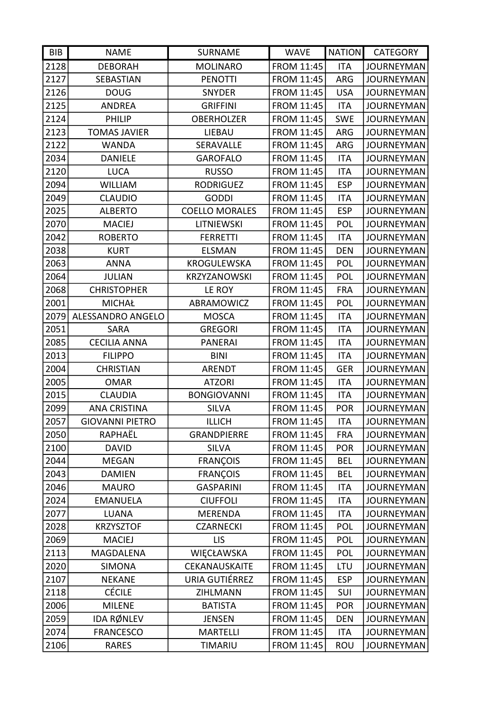| BIB  | <b>NAME</b>            | <b>SURNAME</b>        | <b>WAVE</b>       | <b>NATION</b> | <b>CATEGORY</b>   |
|------|------------------------|-----------------------|-------------------|---------------|-------------------|
| 2128 | <b>DEBORAH</b>         | <b>MOLINARO</b>       | <b>FROM 11:45</b> | <b>ITA</b>    | <b>JOURNEYMAN</b> |
| 2127 | SEBASTIAN              | <b>PENOTTI</b>        | <b>FROM 11:45</b> | <b>ARG</b>    | <b>JOURNEYMAN</b> |
| 2126 | <b>DOUG</b>            | <b>SNYDER</b>         | <b>FROM 11:45</b> | <b>USA</b>    | <b>JOURNEYMAN</b> |
| 2125 | <b>ANDREA</b>          | <b>GRIFFINI</b>       | <b>FROM 11:45</b> | <b>ITA</b>    | <b>JOURNEYMAN</b> |
| 2124 | <b>PHILIP</b>          | <b>OBERHOLZER</b>     | FROM 11:45        | <b>SWE</b>    | <b>JOURNEYMAN</b> |
| 2123 | <b>TOMAS JAVIER</b>    | LIEBAU                | <b>FROM 11:45</b> | <b>ARG</b>    | <b>JOURNEYMAN</b> |
| 2122 | <b>WANDA</b>           | SERAVALLE             | <b>FROM 11:45</b> | ARG           | <b>JOURNEYMAN</b> |
| 2034 | <b>DANIELE</b>         | <b>GAROFALO</b>       | <b>FROM 11:45</b> | <b>ITA</b>    | <b>JOURNEYMAN</b> |
| 2120 | <b>LUCA</b>            | <b>RUSSO</b>          | <b>FROM 11:45</b> | <b>ITA</b>    | <b>JOURNEYMAN</b> |
| 2094 | <b>WILLIAM</b>         | <b>RODRIGUEZ</b>      | FROM 11:45        | <b>ESP</b>    | <b>JOURNEYMAN</b> |
| 2049 | <b>CLAUDIO</b>         | <b>GODDI</b>          | <b>FROM 11:45</b> | <b>ITA</b>    | <b>JOURNEYMAN</b> |
| 2025 | <b>ALBERTO</b>         | <b>COELLO MORALES</b> | FROM 11:45        | <b>ESP</b>    | <b>JOURNEYMAN</b> |
| 2070 | <b>MACIEJ</b>          | <b>LITNIEWSKI</b>     | <b>FROM 11:45</b> | <b>POL</b>    | <b>JOURNEYMAN</b> |
| 2042 | <b>ROBERTO</b>         | <b>FERRETTI</b>       | <b>FROM 11:45</b> | <b>ITA</b>    | <b>JOURNEYMAN</b> |
| 2038 | <b>KURT</b>            | <b>ELSMAN</b>         | FROM 11:45        | <b>DEN</b>    | <b>JOURNEYMAN</b> |
| 2063 | <b>ANNA</b>            | <b>KROGULEWSKA</b>    | <b>FROM 11:45</b> | POL           | <b>JOURNEYMAN</b> |
| 2064 | <b>JULIAN</b>          | <b>KRZYZANOWSKI</b>   | FROM 11:45        | POL           | <b>JOURNEYMAN</b> |
| 2068 | <b>CHRISTOPHER</b>     | LE ROY                | <b>FROM 11:45</b> | <b>FRA</b>    | <b>JOURNEYMAN</b> |
| 2001 | <b>MICHAŁ</b>          | ABRAMOWICZ            | <b>FROM 11:45</b> | POL           | <b>JOURNEYMAN</b> |
| 2079 | ALESSANDRO ANGELO      | <b>MOSCA</b>          | <b>FROM 11:45</b> | <b>ITA</b>    | <b>JOURNEYMAN</b> |
| 2051 | <b>SARA</b>            | <b>GREGORI</b>        | <b>FROM 11:45</b> | <b>ITA</b>    | <b>JOURNEYMAN</b> |
| 2085 | <b>CECILIA ANNA</b>    | <b>PANERAI</b>        | <b>FROM 11:45</b> | <b>ITA</b>    | <b>JOURNEYMAN</b> |
| 2013 | <b>FILIPPO</b>         | <b>BINI</b>           | <b>FROM 11:45</b> | <b>ITA</b>    | <b>JOURNEYMAN</b> |
| 2004 | <b>CHRISTIAN</b>       | <b>ARENDT</b>         | <b>FROM 11:45</b> | <b>GER</b>    | <b>JOURNEYMAN</b> |
| 2005 | <b>OMAR</b>            | <b>ATZORI</b>         | <b>FROM 11:45</b> | <b>ITA</b>    | <b>JOURNEYMAN</b> |
| 2015 | <b>CLAUDIA</b>         | <b>BONGIOVANNI</b>    | <b>FROM 11:45</b> | <b>ITA</b>    | <b>JOURNEYMAN</b> |
| 2099 | <b>ANA CRISTINA</b>    | <b>SILVA</b>          | <b>FROM 11:45</b> | <b>POR</b>    | <b>JOURNEYMAN</b> |
| 2057 | <b>GIOVANNI PIETRO</b> | <b>ILLICH</b>         | FROM 11:45        | ITA           | <b>JOURNEYMAN</b> |
| 2050 | RAPHAËL                | <b>GRANDPIERRE</b>    | FROM 11:45        | <b>FRA</b>    | <b>JOURNEYMAN</b> |
| 2100 | <b>DAVID</b>           | <b>SILVA</b>          | FROM 11:45        | <b>POR</b>    | <b>JOURNEYMAN</b> |
| 2044 | <b>MEGAN</b>           | <b>FRANÇOIS</b>       | <b>FROM 11:45</b> | <b>BEL</b>    | <b>JOURNEYMAN</b> |
| 2043 | <b>DAMIEN</b>          | <b>FRANÇOIS</b>       | FROM 11:45        | <b>BEL</b>    | <b>JOURNEYMAN</b> |
| 2046 | <b>MAURO</b>           | <b>GASPARINI</b>      | <b>FROM 11:45</b> | <b>ITA</b>    | <b>JOURNEYMAN</b> |
| 2024 | <b>EMANUELA</b>        | <b>CIUFFOLI</b>       | FROM 11:45        | <b>ITA</b>    | <b>JOURNEYMAN</b> |
| 2077 | <b>LUANA</b>           | <b>MERENDA</b>        | FROM 11:45        | <b>ITA</b>    | <b>JOURNEYMAN</b> |
| 2028 | <b>KRZYSZTOF</b>       | <b>CZARNECKI</b>      | <b>FROM 11:45</b> | POL           | <b>JOURNEYMAN</b> |
| 2069 | <b>MACIEJ</b>          | <b>LIS</b>            | FROM 11:45        | POL           | <b>JOURNEYMAN</b> |
| 2113 | MAGDALENA              | WIĘCŁAWSKA            | FROM 11:45        | POL           | <b>JOURNEYMAN</b> |
| 2020 | <b>SIMONA</b>          | CEKANAUSKAITE         | FROM 11:45        | LTU           | <b>JOURNEYMAN</b> |
| 2107 | <b>NEKANE</b>          | URIA GUTIÉRREZ        | <b>FROM 11:45</b> | <b>ESP</b>    | <b>JOURNEYMAN</b> |
| 2118 | <b>CÉCILE</b>          | ZIHLMANN              | FROM 11:45        | SUI           | <b>JOURNEYMAN</b> |
| 2006 | <b>MILENE</b>          | <b>BATISTA</b>        | FROM 11:45        | <b>POR</b>    | <b>JOURNEYMAN</b> |
| 2059 | IDA RØNLEV             | <b>JENSEN</b>         | FROM 11:45        | <b>DEN</b>    | <b>JOURNEYMAN</b> |
| 2074 | <b>FRANCESCO</b>       | <b>MARTELLI</b>       | FROM 11:45        | <b>ITA</b>    | <b>JOURNEYMAN</b> |
| 2106 | <b>RARES</b>           | TIMARIU               | FROM 11:45        | <b>ROU</b>    | <b>JOURNEYMAN</b> |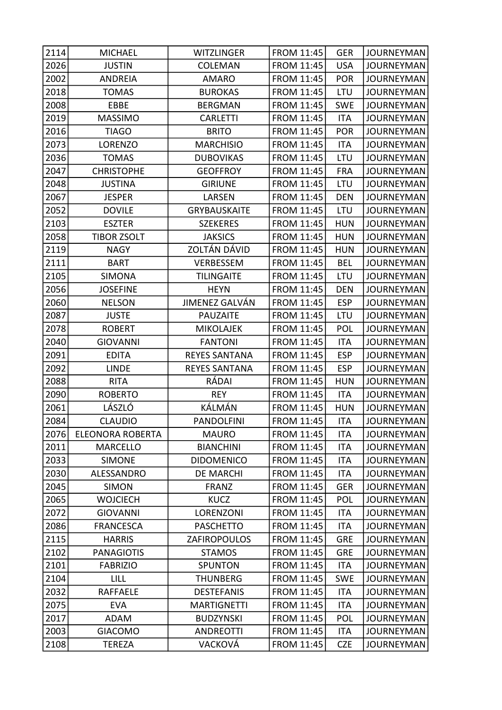| 2114<br><b>FROM 11:45</b><br><b>GER</b><br><b>JOURNEYMAN</b><br><b>MICHAEL</b><br><b>WITZLINGER</b><br>2026<br><b>JUSTIN</b><br>FROM 11:45<br><b>USA</b><br><b>COLEMAN</b><br><b>JOURNEYMAN</b><br>2002<br><b>FROM 11:45</b><br><b>POR</b><br><b>JOURNEYMAN</b><br><b>ANDREIA</b><br><b>AMARO</b><br>2018<br><b>FROM 11:45</b><br>LTU<br><b>JOURNEYMAN</b><br><b>TOMAS</b><br><b>BUROKAS</b><br>2008<br>FROM 11:45<br>EBBE<br><b>BERGMAN</b><br><b>SWE</b><br><b>JOURNEYMAN</b><br>2019<br><b>MASSIMO</b><br><b>CARLETTI</b><br><b>FROM 11:45</b><br><b>ITA</b><br><b>JOURNEYMAN</b><br>2016<br><b>FROM 11:45</b><br><b>POR</b><br><b>TIAGO</b><br><b>BRITO</b><br><b>JOURNEYMAN</b><br>2073<br>LORENZO<br><b>MARCHISIO</b><br><b>FROM 11:45</b><br><b>ITA</b><br><b>JOURNEYMAN</b><br>2036<br><b>TOMAS</b><br><b>DUBOVIKAS</b><br><b>FROM 11:45</b><br>LTU<br><b>JOURNEYMAN</b><br>2047<br><b>FROM 11:45</b><br><b>CHRISTOPHE</b><br><b>GEOFFROY</b><br><b>FRA</b><br><b>JOURNEYMAN</b><br>2048<br>FROM 11:45<br><b>JUSTINA</b><br><b>GIRIUNE</b><br>LTU<br><b>JOURNEYMAN</b><br>2067<br>LARSEN<br><b>JESPER</b><br><b>FROM 11:45</b><br><b>DEN</b><br><b>JOURNEYMAN</b><br>2052<br>LTU<br><b>DOVILE</b><br><b>GRYBAUSKAITE</b><br><b>FROM 11:45</b><br><b>JOURNEYMAN</b><br>2103<br><b>ESZTER</b><br><b>SZEKERES</b><br><b>FROM 11:45</b><br><b>HUN</b><br><b>JOURNEYMAN</b><br>2058<br><b>TIBOR ZSOLT</b><br><b>JAKSICS</b><br><b>FROM 11:45</b><br><b>HUN</b><br><b>JOURNEYMAN</b><br>ZOLTÁN DÁVID<br>2119<br><b>NAGY</b><br><b>FROM 11:45</b><br><b>HUN</b><br><b>JOURNEYMAN</b><br>2111<br>VERBESSEM<br><b>FROM 11:45</b><br><b>BART</b><br><b>BEL</b><br><b>JOURNEYMAN</b><br>2105<br><b>SIMONA</b><br><b>TILINGAITE</b><br><b>FROM 11:45</b><br>LTU<br><b>JOURNEYMAN</b><br>2056<br><b>JOSEFINE</b><br><b>HEYN</b><br><b>FROM 11:45</b><br><b>DEN</b><br><b>JOURNEYMAN</b><br>JIMENEZ GALVÁN<br>2060<br><b>FROM 11:45</b><br><b>ESP</b><br><b>NELSON</b><br><b>JOURNEYMAN</b><br>2087<br><b>JUSTE</b><br><b>FROM 11:45</b><br>LTU<br><b>JOURNEYMAN</b><br><b>PAUZAITE</b><br>2078<br><b>MIKOLAJEK</b><br><b>FROM 11:45</b><br>POL<br><b>JOURNEYMAN</b><br><b>ROBERT</b><br>2040<br><b>GIOVANNI</b><br><b>FANTONI</b><br><b>FROM 11:45</b><br><b>ITA</b><br><b>JOURNEYMAN</b><br>2091<br><b>REYES SANTANA</b><br><b>ESP</b><br><b>EDITA</b><br><b>FROM 11:45</b><br><b>JOURNEYMAN</b><br>2092<br><b>LINDE</b><br><b>REYES SANTANA</b><br><b>FROM 11:45</b><br><b>ESP</b><br><b>JOURNEYMAN</b><br>RÁDAI<br>2088<br><b>RITA</b><br><b>FROM 11:45</b><br><b>HUN</b><br><b>JOURNEYMAN</b><br>2090<br><b>FROM 11:45</b><br><b>JOURNEYMAN</b><br><b>ROBERTO</b><br><b>REY</b><br><b>ITA</b><br>KÁLMÁN<br>LÁSZLÓ<br>2061<br><b>FROM 11:45</b><br><b>HUN</b><br><b>JOURNEYMAN</b><br>2084<br><b>FROM 11:45</b><br><b>JOURNEYMAN</b><br><b>CLAUDIO</b><br><b>PANDOLFINI</b><br><b>ITA</b><br>2076<br><b>ELEONORA ROBERTA</b><br><b>FROM 11:45</b><br><b>MAURO</b><br>ITA<br><b>JOURNEYMAN</b><br>2011<br><b>MARCELLO</b><br><b>BIANCHINI</b><br><b>FROM 11:45</b><br><b>JOURNEYMAN</b><br><b>ITA</b><br>2033<br><b>FROM 11:45</b><br><b>SIMONE</b><br><b>DIDOMENICO</b><br><b>ITA</b><br><b>JOURNEYMAN</b><br>2030<br>ALESSANDRO<br><b>DE MARCHI</b><br><b>FROM 11:45</b><br><b>ITA</b><br><b>JOURNEYMAN</b><br>2045<br><b>SIMON</b><br><b>FRANZ</b><br><b>FROM 11:45</b><br><b>JOURNEYMAN</b><br>GER<br><b>FROM 11:45</b><br>2065<br><b>WOJCIECH</b><br><b>KUCZ</b><br>POL<br><b>JOURNEYMAN</b><br>2072<br>LORENZONI<br><b>FROM 11:45</b><br><b>GIOVANNI</b><br><b>ITA</b><br><b>JOURNEYMAN</b><br>2086<br><b>PASCHETTO</b><br><b>FROM 11:45</b><br><b>FRANCESCA</b><br><b>ITA</b><br><b>JOURNEYMAN</b><br>2115<br>FROM 11:45<br>ZAFIROPOULOS<br><b>GRE</b><br><b>JOURNEYMAN</b><br><b>HARRIS</b><br>2102<br><b>PANAGIOTIS</b><br><b>STAMOS</b><br><b>FROM 11:45</b><br><b>GRE</b><br><b>JOURNEYMAN</b><br>2101<br><b>FROM 11:45</b><br><b>FABRIZIO</b><br><b>SPUNTON</b><br>ITA<br><b>JOURNEYMAN</b><br>2104<br>LILL<br><b>THUNBERG</b><br><b>FROM 11:45</b><br><b>JOURNEYMAN</b><br><b>SWE</b><br>2032<br><b>FROM 11:45</b><br><b>RAFFAELE</b><br><b>DESTEFANIS</b><br><b>ITA</b><br><b>JOURNEYMAN</b><br>2075<br><b>FROM 11:45</b><br><b>EVA</b><br><b>MARTIGNETTI</b><br><b>ITA</b><br><b>JOURNEYMAN</b><br>2017<br><b>FROM 11:45</b><br>ADAM<br><b>BUDZYNSKI</b><br><b>POL</b><br><b>JOURNEYMAN</b><br><b>FROM 11:45</b><br>2003<br><b>GIACOMO</b><br><b>ANDREOTTI</b><br>ITA<br><b>JOURNEYMAN</b><br>VACKOVÁ<br>2108<br><b>FROM 11:45</b><br><b>CZE</b><br><b>TEREZA</b><br><b>JOURNEYMAN</b> |  |  |  |
|----------------------------------------------------------------------------------------------------------------------------------------------------------------------------------------------------------------------------------------------------------------------------------------------------------------------------------------------------------------------------------------------------------------------------------------------------------------------------------------------------------------------------------------------------------------------------------------------------------------------------------------------------------------------------------------------------------------------------------------------------------------------------------------------------------------------------------------------------------------------------------------------------------------------------------------------------------------------------------------------------------------------------------------------------------------------------------------------------------------------------------------------------------------------------------------------------------------------------------------------------------------------------------------------------------------------------------------------------------------------------------------------------------------------------------------------------------------------------------------------------------------------------------------------------------------------------------------------------------------------------------------------------------------------------------------------------------------------------------------------------------------------------------------------------------------------------------------------------------------------------------------------------------------------------------------------------------------------------------------------------------------------------------------------------------------------------------------------------------------------------------------------------------------------------------------------------------------------------------------------------------------------------------------------------------------------------------------------------------------------------------------------------------------------------------------------------------------------------------------------------------------------------------------------------------------------------------------------------------------------------------------------------------------------------------------------------------------------------------------------------------------------------------------------------------------------------------------------------------------------------------------------------------------------------------------------------------------------------------------------------------------------------------------------------------------------------------------------------------------------------------------------------------------------------------------------------------------------------------------------------------------------------------------------------------------------------------------------------------------------------------------------------------------------------------------------------------------------------------------------------------------------------------------------------------------------------------------------------------------------------------------------------------------------------------------------------------------------------------------------------------------------------------------------------------------------------------------------------------------------------------------------------------------------------------------------------------------------------------------------------------------------------------------------------------------------------------------------------------------------------------------------------------------------------------------------------------------------------------------------------------------------------------------------------------------------------------------------------------------------------------------------------------------------------------------------------------------------------------------------------------------------------------------------------------------------------------------------------|--|--|--|
|                                                                                                                                                                                                                                                                                                                                                                                                                                                                                                                                                                                                                                                                                                                                                                                                                                                                                                                                                                                                                                                                                                                                                                                                                                                                                                                                                                                                                                                                                                                                                                                                                                                                                                                                                                                                                                                                                                                                                                                                                                                                                                                                                                                                                                                                                                                                                                                                                                                                                                                                                                                                                                                                                                                                                                                                                                                                                                                                                                                                                                                                                                                                                                                                                                                                                                                                                                                                                                                                                                                                                                                                                                                                                                                                                                                                                                                                                                                                                                                                                                                                                                                                                                                                                                                                                                                                                                                                                                                                                                                                                                                                    |  |  |  |
|                                                                                                                                                                                                                                                                                                                                                                                                                                                                                                                                                                                                                                                                                                                                                                                                                                                                                                                                                                                                                                                                                                                                                                                                                                                                                                                                                                                                                                                                                                                                                                                                                                                                                                                                                                                                                                                                                                                                                                                                                                                                                                                                                                                                                                                                                                                                                                                                                                                                                                                                                                                                                                                                                                                                                                                                                                                                                                                                                                                                                                                                                                                                                                                                                                                                                                                                                                                                                                                                                                                                                                                                                                                                                                                                                                                                                                                                                                                                                                                                                                                                                                                                                                                                                                                                                                                                                                                                                                                                                                                                                                                                    |  |  |  |
|                                                                                                                                                                                                                                                                                                                                                                                                                                                                                                                                                                                                                                                                                                                                                                                                                                                                                                                                                                                                                                                                                                                                                                                                                                                                                                                                                                                                                                                                                                                                                                                                                                                                                                                                                                                                                                                                                                                                                                                                                                                                                                                                                                                                                                                                                                                                                                                                                                                                                                                                                                                                                                                                                                                                                                                                                                                                                                                                                                                                                                                                                                                                                                                                                                                                                                                                                                                                                                                                                                                                                                                                                                                                                                                                                                                                                                                                                                                                                                                                                                                                                                                                                                                                                                                                                                                                                                                                                                                                                                                                                                                                    |  |  |  |
|                                                                                                                                                                                                                                                                                                                                                                                                                                                                                                                                                                                                                                                                                                                                                                                                                                                                                                                                                                                                                                                                                                                                                                                                                                                                                                                                                                                                                                                                                                                                                                                                                                                                                                                                                                                                                                                                                                                                                                                                                                                                                                                                                                                                                                                                                                                                                                                                                                                                                                                                                                                                                                                                                                                                                                                                                                                                                                                                                                                                                                                                                                                                                                                                                                                                                                                                                                                                                                                                                                                                                                                                                                                                                                                                                                                                                                                                                                                                                                                                                                                                                                                                                                                                                                                                                                                                                                                                                                                                                                                                                                                                    |  |  |  |
|                                                                                                                                                                                                                                                                                                                                                                                                                                                                                                                                                                                                                                                                                                                                                                                                                                                                                                                                                                                                                                                                                                                                                                                                                                                                                                                                                                                                                                                                                                                                                                                                                                                                                                                                                                                                                                                                                                                                                                                                                                                                                                                                                                                                                                                                                                                                                                                                                                                                                                                                                                                                                                                                                                                                                                                                                                                                                                                                                                                                                                                                                                                                                                                                                                                                                                                                                                                                                                                                                                                                                                                                                                                                                                                                                                                                                                                                                                                                                                                                                                                                                                                                                                                                                                                                                                                                                                                                                                                                                                                                                                                                    |  |  |  |
|                                                                                                                                                                                                                                                                                                                                                                                                                                                                                                                                                                                                                                                                                                                                                                                                                                                                                                                                                                                                                                                                                                                                                                                                                                                                                                                                                                                                                                                                                                                                                                                                                                                                                                                                                                                                                                                                                                                                                                                                                                                                                                                                                                                                                                                                                                                                                                                                                                                                                                                                                                                                                                                                                                                                                                                                                                                                                                                                                                                                                                                                                                                                                                                                                                                                                                                                                                                                                                                                                                                                                                                                                                                                                                                                                                                                                                                                                                                                                                                                                                                                                                                                                                                                                                                                                                                                                                                                                                                                                                                                                                                                    |  |  |  |
|                                                                                                                                                                                                                                                                                                                                                                                                                                                                                                                                                                                                                                                                                                                                                                                                                                                                                                                                                                                                                                                                                                                                                                                                                                                                                                                                                                                                                                                                                                                                                                                                                                                                                                                                                                                                                                                                                                                                                                                                                                                                                                                                                                                                                                                                                                                                                                                                                                                                                                                                                                                                                                                                                                                                                                                                                                                                                                                                                                                                                                                                                                                                                                                                                                                                                                                                                                                                                                                                                                                                                                                                                                                                                                                                                                                                                                                                                                                                                                                                                                                                                                                                                                                                                                                                                                                                                                                                                                                                                                                                                                                                    |  |  |  |
|                                                                                                                                                                                                                                                                                                                                                                                                                                                                                                                                                                                                                                                                                                                                                                                                                                                                                                                                                                                                                                                                                                                                                                                                                                                                                                                                                                                                                                                                                                                                                                                                                                                                                                                                                                                                                                                                                                                                                                                                                                                                                                                                                                                                                                                                                                                                                                                                                                                                                                                                                                                                                                                                                                                                                                                                                                                                                                                                                                                                                                                                                                                                                                                                                                                                                                                                                                                                                                                                                                                                                                                                                                                                                                                                                                                                                                                                                                                                                                                                                                                                                                                                                                                                                                                                                                                                                                                                                                                                                                                                                                                                    |  |  |  |
|                                                                                                                                                                                                                                                                                                                                                                                                                                                                                                                                                                                                                                                                                                                                                                                                                                                                                                                                                                                                                                                                                                                                                                                                                                                                                                                                                                                                                                                                                                                                                                                                                                                                                                                                                                                                                                                                                                                                                                                                                                                                                                                                                                                                                                                                                                                                                                                                                                                                                                                                                                                                                                                                                                                                                                                                                                                                                                                                                                                                                                                                                                                                                                                                                                                                                                                                                                                                                                                                                                                                                                                                                                                                                                                                                                                                                                                                                                                                                                                                                                                                                                                                                                                                                                                                                                                                                                                                                                                                                                                                                                                                    |  |  |  |
|                                                                                                                                                                                                                                                                                                                                                                                                                                                                                                                                                                                                                                                                                                                                                                                                                                                                                                                                                                                                                                                                                                                                                                                                                                                                                                                                                                                                                                                                                                                                                                                                                                                                                                                                                                                                                                                                                                                                                                                                                                                                                                                                                                                                                                                                                                                                                                                                                                                                                                                                                                                                                                                                                                                                                                                                                                                                                                                                                                                                                                                                                                                                                                                                                                                                                                                                                                                                                                                                                                                                                                                                                                                                                                                                                                                                                                                                                                                                                                                                                                                                                                                                                                                                                                                                                                                                                                                                                                                                                                                                                                                                    |  |  |  |
|                                                                                                                                                                                                                                                                                                                                                                                                                                                                                                                                                                                                                                                                                                                                                                                                                                                                                                                                                                                                                                                                                                                                                                                                                                                                                                                                                                                                                                                                                                                                                                                                                                                                                                                                                                                                                                                                                                                                                                                                                                                                                                                                                                                                                                                                                                                                                                                                                                                                                                                                                                                                                                                                                                                                                                                                                                                                                                                                                                                                                                                                                                                                                                                                                                                                                                                                                                                                                                                                                                                                                                                                                                                                                                                                                                                                                                                                                                                                                                                                                                                                                                                                                                                                                                                                                                                                                                                                                                                                                                                                                                                                    |  |  |  |
|                                                                                                                                                                                                                                                                                                                                                                                                                                                                                                                                                                                                                                                                                                                                                                                                                                                                                                                                                                                                                                                                                                                                                                                                                                                                                                                                                                                                                                                                                                                                                                                                                                                                                                                                                                                                                                                                                                                                                                                                                                                                                                                                                                                                                                                                                                                                                                                                                                                                                                                                                                                                                                                                                                                                                                                                                                                                                                                                                                                                                                                                                                                                                                                                                                                                                                                                                                                                                                                                                                                                                                                                                                                                                                                                                                                                                                                                                                                                                                                                                                                                                                                                                                                                                                                                                                                                                                                                                                                                                                                                                                                                    |  |  |  |
|                                                                                                                                                                                                                                                                                                                                                                                                                                                                                                                                                                                                                                                                                                                                                                                                                                                                                                                                                                                                                                                                                                                                                                                                                                                                                                                                                                                                                                                                                                                                                                                                                                                                                                                                                                                                                                                                                                                                                                                                                                                                                                                                                                                                                                                                                                                                                                                                                                                                                                                                                                                                                                                                                                                                                                                                                                                                                                                                                                                                                                                                                                                                                                                                                                                                                                                                                                                                                                                                                                                                                                                                                                                                                                                                                                                                                                                                                                                                                                                                                                                                                                                                                                                                                                                                                                                                                                                                                                                                                                                                                                                                    |  |  |  |
|                                                                                                                                                                                                                                                                                                                                                                                                                                                                                                                                                                                                                                                                                                                                                                                                                                                                                                                                                                                                                                                                                                                                                                                                                                                                                                                                                                                                                                                                                                                                                                                                                                                                                                                                                                                                                                                                                                                                                                                                                                                                                                                                                                                                                                                                                                                                                                                                                                                                                                                                                                                                                                                                                                                                                                                                                                                                                                                                                                                                                                                                                                                                                                                                                                                                                                                                                                                                                                                                                                                                                                                                                                                                                                                                                                                                                                                                                                                                                                                                                                                                                                                                                                                                                                                                                                                                                                                                                                                                                                                                                                                                    |  |  |  |
|                                                                                                                                                                                                                                                                                                                                                                                                                                                                                                                                                                                                                                                                                                                                                                                                                                                                                                                                                                                                                                                                                                                                                                                                                                                                                                                                                                                                                                                                                                                                                                                                                                                                                                                                                                                                                                                                                                                                                                                                                                                                                                                                                                                                                                                                                                                                                                                                                                                                                                                                                                                                                                                                                                                                                                                                                                                                                                                                                                                                                                                                                                                                                                                                                                                                                                                                                                                                                                                                                                                                                                                                                                                                                                                                                                                                                                                                                                                                                                                                                                                                                                                                                                                                                                                                                                                                                                                                                                                                                                                                                                                                    |  |  |  |
|                                                                                                                                                                                                                                                                                                                                                                                                                                                                                                                                                                                                                                                                                                                                                                                                                                                                                                                                                                                                                                                                                                                                                                                                                                                                                                                                                                                                                                                                                                                                                                                                                                                                                                                                                                                                                                                                                                                                                                                                                                                                                                                                                                                                                                                                                                                                                                                                                                                                                                                                                                                                                                                                                                                                                                                                                                                                                                                                                                                                                                                                                                                                                                                                                                                                                                                                                                                                                                                                                                                                                                                                                                                                                                                                                                                                                                                                                                                                                                                                                                                                                                                                                                                                                                                                                                                                                                                                                                                                                                                                                                                                    |  |  |  |
|                                                                                                                                                                                                                                                                                                                                                                                                                                                                                                                                                                                                                                                                                                                                                                                                                                                                                                                                                                                                                                                                                                                                                                                                                                                                                                                                                                                                                                                                                                                                                                                                                                                                                                                                                                                                                                                                                                                                                                                                                                                                                                                                                                                                                                                                                                                                                                                                                                                                                                                                                                                                                                                                                                                                                                                                                                                                                                                                                                                                                                                                                                                                                                                                                                                                                                                                                                                                                                                                                                                                                                                                                                                                                                                                                                                                                                                                                                                                                                                                                                                                                                                                                                                                                                                                                                                                                                                                                                                                                                                                                                                                    |  |  |  |
|                                                                                                                                                                                                                                                                                                                                                                                                                                                                                                                                                                                                                                                                                                                                                                                                                                                                                                                                                                                                                                                                                                                                                                                                                                                                                                                                                                                                                                                                                                                                                                                                                                                                                                                                                                                                                                                                                                                                                                                                                                                                                                                                                                                                                                                                                                                                                                                                                                                                                                                                                                                                                                                                                                                                                                                                                                                                                                                                                                                                                                                                                                                                                                                                                                                                                                                                                                                                                                                                                                                                                                                                                                                                                                                                                                                                                                                                                                                                                                                                                                                                                                                                                                                                                                                                                                                                                                                                                                                                                                                                                                                                    |  |  |  |
|                                                                                                                                                                                                                                                                                                                                                                                                                                                                                                                                                                                                                                                                                                                                                                                                                                                                                                                                                                                                                                                                                                                                                                                                                                                                                                                                                                                                                                                                                                                                                                                                                                                                                                                                                                                                                                                                                                                                                                                                                                                                                                                                                                                                                                                                                                                                                                                                                                                                                                                                                                                                                                                                                                                                                                                                                                                                                                                                                                                                                                                                                                                                                                                                                                                                                                                                                                                                                                                                                                                                                                                                                                                                                                                                                                                                                                                                                                                                                                                                                                                                                                                                                                                                                                                                                                                                                                                                                                                                                                                                                                                                    |  |  |  |
|                                                                                                                                                                                                                                                                                                                                                                                                                                                                                                                                                                                                                                                                                                                                                                                                                                                                                                                                                                                                                                                                                                                                                                                                                                                                                                                                                                                                                                                                                                                                                                                                                                                                                                                                                                                                                                                                                                                                                                                                                                                                                                                                                                                                                                                                                                                                                                                                                                                                                                                                                                                                                                                                                                                                                                                                                                                                                                                                                                                                                                                                                                                                                                                                                                                                                                                                                                                                                                                                                                                                                                                                                                                                                                                                                                                                                                                                                                                                                                                                                                                                                                                                                                                                                                                                                                                                                                                                                                                                                                                                                                                                    |  |  |  |
|                                                                                                                                                                                                                                                                                                                                                                                                                                                                                                                                                                                                                                                                                                                                                                                                                                                                                                                                                                                                                                                                                                                                                                                                                                                                                                                                                                                                                                                                                                                                                                                                                                                                                                                                                                                                                                                                                                                                                                                                                                                                                                                                                                                                                                                                                                                                                                                                                                                                                                                                                                                                                                                                                                                                                                                                                                                                                                                                                                                                                                                                                                                                                                                                                                                                                                                                                                                                                                                                                                                                                                                                                                                                                                                                                                                                                                                                                                                                                                                                                                                                                                                                                                                                                                                                                                                                                                                                                                                                                                                                                                                                    |  |  |  |
|                                                                                                                                                                                                                                                                                                                                                                                                                                                                                                                                                                                                                                                                                                                                                                                                                                                                                                                                                                                                                                                                                                                                                                                                                                                                                                                                                                                                                                                                                                                                                                                                                                                                                                                                                                                                                                                                                                                                                                                                                                                                                                                                                                                                                                                                                                                                                                                                                                                                                                                                                                                                                                                                                                                                                                                                                                                                                                                                                                                                                                                                                                                                                                                                                                                                                                                                                                                                                                                                                                                                                                                                                                                                                                                                                                                                                                                                                                                                                                                                                                                                                                                                                                                                                                                                                                                                                                                                                                                                                                                                                                                                    |  |  |  |
|                                                                                                                                                                                                                                                                                                                                                                                                                                                                                                                                                                                                                                                                                                                                                                                                                                                                                                                                                                                                                                                                                                                                                                                                                                                                                                                                                                                                                                                                                                                                                                                                                                                                                                                                                                                                                                                                                                                                                                                                                                                                                                                                                                                                                                                                                                                                                                                                                                                                                                                                                                                                                                                                                                                                                                                                                                                                                                                                                                                                                                                                                                                                                                                                                                                                                                                                                                                                                                                                                                                                                                                                                                                                                                                                                                                                                                                                                                                                                                                                                                                                                                                                                                                                                                                                                                                                                                                                                                                                                                                                                                                                    |  |  |  |
|                                                                                                                                                                                                                                                                                                                                                                                                                                                                                                                                                                                                                                                                                                                                                                                                                                                                                                                                                                                                                                                                                                                                                                                                                                                                                                                                                                                                                                                                                                                                                                                                                                                                                                                                                                                                                                                                                                                                                                                                                                                                                                                                                                                                                                                                                                                                                                                                                                                                                                                                                                                                                                                                                                                                                                                                                                                                                                                                                                                                                                                                                                                                                                                                                                                                                                                                                                                                                                                                                                                                                                                                                                                                                                                                                                                                                                                                                                                                                                                                                                                                                                                                                                                                                                                                                                                                                                                                                                                                                                                                                                                                    |  |  |  |
|                                                                                                                                                                                                                                                                                                                                                                                                                                                                                                                                                                                                                                                                                                                                                                                                                                                                                                                                                                                                                                                                                                                                                                                                                                                                                                                                                                                                                                                                                                                                                                                                                                                                                                                                                                                                                                                                                                                                                                                                                                                                                                                                                                                                                                                                                                                                                                                                                                                                                                                                                                                                                                                                                                                                                                                                                                                                                                                                                                                                                                                                                                                                                                                                                                                                                                                                                                                                                                                                                                                                                                                                                                                                                                                                                                                                                                                                                                                                                                                                                                                                                                                                                                                                                                                                                                                                                                                                                                                                                                                                                                                                    |  |  |  |
|                                                                                                                                                                                                                                                                                                                                                                                                                                                                                                                                                                                                                                                                                                                                                                                                                                                                                                                                                                                                                                                                                                                                                                                                                                                                                                                                                                                                                                                                                                                                                                                                                                                                                                                                                                                                                                                                                                                                                                                                                                                                                                                                                                                                                                                                                                                                                                                                                                                                                                                                                                                                                                                                                                                                                                                                                                                                                                                                                                                                                                                                                                                                                                                                                                                                                                                                                                                                                                                                                                                                                                                                                                                                                                                                                                                                                                                                                                                                                                                                                                                                                                                                                                                                                                                                                                                                                                                                                                                                                                                                                                                                    |  |  |  |
|                                                                                                                                                                                                                                                                                                                                                                                                                                                                                                                                                                                                                                                                                                                                                                                                                                                                                                                                                                                                                                                                                                                                                                                                                                                                                                                                                                                                                                                                                                                                                                                                                                                                                                                                                                                                                                                                                                                                                                                                                                                                                                                                                                                                                                                                                                                                                                                                                                                                                                                                                                                                                                                                                                                                                                                                                                                                                                                                                                                                                                                                                                                                                                                                                                                                                                                                                                                                                                                                                                                                                                                                                                                                                                                                                                                                                                                                                                                                                                                                                                                                                                                                                                                                                                                                                                                                                                                                                                                                                                                                                                                                    |  |  |  |
|                                                                                                                                                                                                                                                                                                                                                                                                                                                                                                                                                                                                                                                                                                                                                                                                                                                                                                                                                                                                                                                                                                                                                                                                                                                                                                                                                                                                                                                                                                                                                                                                                                                                                                                                                                                                                                                                                                                                                                                                                                                                                                                                                                                                                                                                                                                                                                                                                                                                                                                                                                                                                                                                                                                                                                                                                                                                                                                                                                                                                                                                                                                                                                                                                                                                                                                                                                                                                                                                                                                                                                                                                                                                                                                                                                                                                                                                                                                                                                                                                                                                                                                                                                                                                                                                                                                                                                                                                                                                                                                                                                                                    |  |  |  |
|                                                                                                                                                                                                                                                                                                                                                                                                                                                                                                                                                                                                                                                                                                                                                                                                                                                                                                                                                                                                                                                                                                                                                                                                                                                                                                                                                                                                                                                                                                                                                                                                                                                                                                                                                                                                                                                                                                                                                                                                                                                                                                                                                                                                                                                                                                                                                                                                                                                                                                                                                                                                                                                                                                                                                                                                                                                                                                                                                                                                                                                                                                                                                                                                                                                                                                                                                                                                                                                                                                                                                                                                                                                                                                                                                                                                                                                                                                                                                                                                                                                                                                                                                                                                                                                                                                                                                                                                                                                                                                                                                                                                    |  |  |  |
|                                                                                                                                                                                                                                                                                                                                                                                                                                                                                                                                                                                                                                                                                                                                                                                                                                                                                                                                                                                                                                                                                                                                                                                                                                                                                                                                                                                                                                                                                                                                                                                                                                                                                                                                                                                                                                                                                                                                                                                                                                                                                                                                                                                                                                                                                                                                                                                                                                                                                                                                                                                                                                                                                                                                                                                                                                                                                                                                                                                                                                                                                                                                                                                                                                                                                                                                                                                                                                                                                                                                                                                                                                                                                                                                                                                                                                                                                                                                                                                                                                                                                                                                                                                                                                                                                                                                                                                                                                                                                                                                                                                                    |  |  |  |
|                                                                                                                                                                                                                                                                                                                                                                                                                                                                                                                                                                                                                                                                                                                                                                                                                                                                                                                                                                                                                                                                                                                                                                                                                                                                                                                                                                                                                                                                                                                                                                                                                                                                                                                                                                                                                                                                                                                                                                                                                                                                                                                                                                                                                                                                                                                                                                                                                                                                                                                                                                                                                                                                                                                                                                                                                                                                                                                                                                                                                                                                                                                                                                                                                                                                                                                                                                                                                                                                                                                                                                                                                                                                                                                                                                                                                                                                                                                                                                                                                                                                                                                                                                                                                                                                                                                                                                                                                                                                                                                                                                                                    |  |  |  |
|                                                                                                                                                                                                                                                                                                                                                                                                                                                                                                                                                                                                                                                                                                                                                                                                                                                                                                                                                                                                                                                                                                                                                                                                                                                                                                                                                                                                                                                                                                                                                                                                                                                                                                                                                                                                                                                                                                                                                                                                                                                                                                                                                                                                                                                                                                                                                                                                                                                                                                                                                                                                                                                                                                                                                                                                                                                                                                                                                                                                                                                                                                                                                                                                                                                                                                                                                                                                                                                                                                                                                                                                                                                                                                                                                                                                                                                                                                                                                                                                                                                                                                                                                                                                                                                                                                                                                                                                                                                                                                                                                                                                    |  |  |  |
|                                                                                                                                                                                                                                                                                                                                                                                                                                                                                                                                                                                                                                                                                                                                                                                                                                                                                                                                                                                                                                                                                                                                                                                                                                                                                                                                                                                                                                                                                                                                                                                                                                                                                                                                                                                                                                                                                                                                                                                                                                                                                                                                                                                                                                                                                                                                                                                                                                                                                                                                                                                                                                                                                                                                                                                                                                                                                                                                                                                                                                                                                                                                                                                                                                                                                                                                                                                                                                                                                                                                                                                                                                                                                                                                                                                                                                                                                                                                                                                                                                                                                                                                                                                                                                                                                                                                                                                                                                                                                                                                                                                                    |  |  |  |
|                                                                                                                                                                                                                                                                                                                                                                                                                                                                                                                                                                                                                                                                                                                                                                                                                                                                                                                                                                                                                                                                                                                                                                                                                                                                                                                                                                                                                                                                                                                                                                                                                                                                                                                                                                                                                                                                                                                                                                                                                                                                                                                                                                                                                                                                                                                                                                                                                                                                                                                                                                                                                                                                                                                                                                                                                                                                                                                                                                                                                                                                                                                                                                                                                                                                                                                                                                                                                                                                                                                                                                                                                                                                                                                                                                                                                                                                                                                                                                                                                                                                                                                                                                                                                                                                                                                                                                                                                                                                                                                                                                                                    |  |  |  |
|                                                                                                                                                                                                                                                                                                                                                                                                                                                                                                                                                                                                                                                                                                                                                                                                                                                                                                                                                                                                                                                                                                                                                                                                                                                                                                                                                                                                                                                                                                                                                                                                                                                                                                                                                                                                                                                                                                                                                                                                                                                                                                                                                                                                                                                                                                                                                                                                                                                                                                                                                                                                                                                                                                                                                                                                                                                                                                                                                                                                                                                                                                                                                                                                                                                                                                                                                                                                                                                                                                                                                                                                                                                                                                                                                                                                                                                                                                                                                                                                                                                                                                                                                                                                                                                                                                                                                                                                                                                                                                                                                                                                    |  |  |  |
|                                                                                                                                                                                                                                                                                                                                                                                                                                                                                                                                                                                                                                                                                                                                                                                                                                                                                                                                                                                                                                                                                                                                                                                                                                                                                                                                                                                                                                                                                                                                                                                                                                                                                                                                                                                                                                                                                                                                                                                                                                                                                                                                                                                                                                                                                                                                                                                                                                                                                                                                                                                                                                                                                                                                                                                                                                                                                                                                                                                                                                                                                                                                                                                                                                                                                                                                                                                                                                                                                                                                                                                                                                                                                                                                                                                                                                                                                                                                                                                                                                                                                                                                                                                                                                                                                                                                                                                                                                                                                                                                                                                                    |  |  |  |
|                                                                                                                                                                                                                                                                                                                                                                                                                                                                                                                                                                                                                                                                                                                                                                                                                                                                                                                                                                                                                                                                                                                                                                                                                                                                                                                                                                                                                                                                                                                                                                                                                                                                                                                                                                                                                                                                                                                                                                                                                                                                                                                                                                                                                                                                                                                                                                                                                                                                                                                                                                                                                                                                                                                                                                                                                                                                                                                                                                                                                                                                                                                                                                                                                                                                                                                                                                                                                                                                                                                                                                                                                                                                                                                                                                                                                                                                                                                                                                                                                                                                                                                                                                                                                                                                                                                                                                                                                                                                                                                                                                                                    |  |  |  |
|                                                                                                                                                                                                                                                                                                                                                                                                                                                                                                                                                                                                                                                                                                                                                                                                                                                                                                                                                                                                                                                                                                                                                                                                                                                                                                                                                                                                                                                                                                                                                                                                                                                                                                                                                                                                                                                                                                                                                                                                                                                                                                                                                                                                                                                                                                                                                                                                                                                                                                                                                                                                                                                                                                                                                                                                                                                                                                                                                                                                                                                                                                                                                                                                                                                                                                                                                                                                                                                                                                                                                                                                                                                                                                                                                                                                                                                                                                                                                                                                                                                                                                                                                                                                                                                                                                                                                                                                                                                                                                                                                                                                    |  |  |  |
|                                                                                                                                                                                                                                                                                                                                                                                                                                                                                                                                                                                                                                                                                                                                                                                                                                                                                                                                                                                                                                                                                                                                                                                                                                                                                                                                                                                                                                                                                                                                                                                                                                                                                                                                                                                                                                                                                                                                                                                                                                                                                                                                                                                                                                                                                                                                                                                                                                                                                                                                                                                                                                                                                                                                                                                                                                                                                                                                                                                                                                                                                                                                                                                                                                                                                                                                                                                                                                                                                                                                                                                                                                                                                                                                                                                                                                                                                                                                                                                                                                                                                                                                                                                                                                                                                                                                                                                                                                                                                                                                                                                                    |  |  |  |
|                                                                                                                                                                                                                                                                                                                                                                                                                                                                                                                                                                                                                                                                                                                                                                                                                                                                                                                                                                                                                                                                                                                                                                                                                                                                                                                                                                                                                                                                                                                                                                                                                                                                                                                                                                                                                                                                                                                                                                                                                                                                                                                                                                                                                                                                                                                                                                                                                                                                                                                                                                                                                                                                                                                                                                                                                                                                                                                                                                                                                                                                                                                                                                                                                                                                                                                                                                                                                                                                                                                                                                                                                                                                                                                                                                                                                                                                                                                                                                                                                                                                                                                                                                                                                                                                                                                                                                                                                                                                                                                                                                                                    |  |  |  |
|                                                                                                                                                                                                                                                                                                                                                                                                                                                                                                                                                                                                                                                                                                                                                                                                                                                                                                                                                                                                                                                                                                                                                                                                                                                                                                                                                                                                                                                                                                                                                                                                                                                                                                                                                                                                                                                                                                                                                                                                                                                                                                                                                                                                                                                                                                                                                                                                                                                                                                                                                                                                                                                                                                                                                                                                                                                                                                                                                                                                                                                                                                                                                                                                                                                                                                                                                                                                                                                                                                                                                                                                                                                                                                                                                                                                                                                                                                                                                                                                                                                                                                                                                                                                                                                                                                                                                                                                                                                                                                                                                                                                    |  |  |  |
|                                                                                                                                                                                                                                                                                                                                                                                                                                                                                                                                                                                                                                                                                                                                                                                                                                                                                                                                                                                                                                                                                                                                                                                                                                                                                                                                                                                                                                                                                                                                                                                                                                                                                                                                                                                                                                                                                                                                                                                                                                                                                                                                                                                                                                                                                                                                                                                                                                                                                                                                                                                                                                                                                                                                                                                                                                                                                                                                                                                                                                                                                                                                                                                                                                                                                                                                                                                                                                                                                                                                                                                                                                                                                                                                                                                                                                                                                                                                                                                                                                                                                                                                                                                                                                                                                                                                                                                                                                                                                                                                                                                                    |  |  |  |
|                                                                                                                                                                                                                                                                                                                                                                                                                                                                                                                                                                                                                                                                                                                                                                                                                                                                                                                                                                                                                                                                                                                                                                                                                                                                                                                                                                                                                                                                                                                                                                                                                                                                                                                                                                                                                                                                                                                                                                                                                                                                                                                                                                                                                                                                                                                                                                                                                                                                                                                                                                                                                                                                                                                                                                                                                                                                                                                                                                                                                                                                                                                                                                                                                                                                                                                                                                                                                                                                                                                                                                                                                                                                                                                                                                                                                                                                                                                                                                                                                                                                                                                                                                                                                                                                                                                                                                                                                                                                                                                                                                                                    |  |  |  |
|                                                                                                                                                                                                                                                                                                                                                                                                                                                                                                                                                                                                                                                                                                                                                                                                                                                                                                                                                                                                                                                                                                                                                                                                                                                                                                                                                                                                                                                                                                                                                                                                                                                                                                                                                                                                                                                                                                                                                                                                                                                                                                                                                                                                                                                                                                                                                                                                                                                                                                                                                                                                                                                                                                                                                                                                                                                                                                                                                                                                                                                                                                                                                                                                                                                                                                                                                                                                                                                                                                                                                                                                                                                                                                                                                                                                                                                                                                                                                                                                                                                                                                                                                                                                                                                                                                                                                                                                                                                                                                                                                                                                    |  |  |  |
|                                                                                                                                                                                                                                                                                                                                                                                                                                                                                                                                                                                                                                                                                                                                                                                                                                                                                                                                                                                                                                                                                                                                                                                                                                                                                                                                                                                                                                                                                                                                                                                                                                                                                                                                                                                                                                                                                                                                                                                                                                                                                                                                                                                                                                                                                                                                                                                                                                                                                                                                                                                                                                                                                                                                                                                                                                                                                                                                                                                                                                                                                                                                                                                                                                                                                                                                                                                                                                                                                                                                                                                                                                                                                                                                                                                                                                                                                                                                                                                                                                                                                                                                                                                                                                                                                                                                                                                                                                                                                                                                                                                                    |  |  |  |
|                                                                                                                                                                                                                                                                                                                                                                                                                                                                                                                                                                                                                                                                                                                                                                                                                                                                                                                                                                                                                                                                                                                                                                                                                                                                                                                                                                                                                                                                                                                                                                                                                                                                                                                                                                                                                                                                                                                                                                                                                                                                                                                                                                                                                                                                                                                                                                                                                                                                                                                                                                                                                                                                                                                                                                                                                                                                                                                                                                                                                                                                                                                                                                                                                                                                                                                                                                                                                                                                                                                                                                                                                                                                                                                                                                                                                                                                                                                                                                                                                                                                                                                                                                                                                                                                                                                                                                                                                                                                                                                                                                                                    |  |  |  |